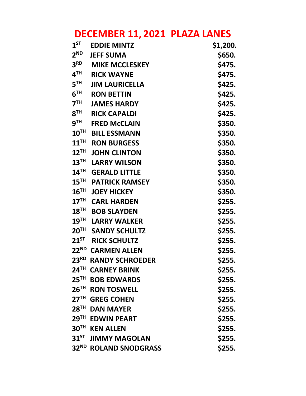# **DECEMBER 11, 2021 PLAZA LANES**

| $1^{ST}$         | <b>EDDIE MINTZ</b>                | \$1,200. |
|------------------|-----------------------------------|----------|
| $2^{ND}$         | <b>JEFF SUMA</b>                  | \$650.   |
| 3 <sup>RD</sup>  | <b>MIKE MCCLESKEY</b>             | \$475.   |
| 4 <sup>TH</sup>  | <b>RICK WAYNE</b>                 | \$475.   |
| 5 <sup>TH</sup>  | <b>JIM LAURICELLA</b>             | \$425.   |
| 6 <sup>TH</sup>  | <b>RON BETTIN</b>                 | \$425.   |
| 7 <sup>TH</sup>  | <b>JAMES HARDY</b>                | \$425.   |
| 8 <sup>TH</sup>  | <b>RICK CAPALDI</b>               | \$425.   |
| 9 <sup>TH</sup>  | <b>FRED McCLAIN</b>               | \$350.   |
| $10^{TH}$        | <b>BILL ESSMANN</b>               | \$350.   |
| $11^{\text{TH}}$ | <b>RON BURGESS</b>                | \$350.   |
| $12^{TH}$        | <b>JOHN CLINTON</b>               | \$350.   |
| $13^{\text{TH}}$ | <b>LARRY WILSON</b>               | \$350.   |
| $14^{\text{TH}}$ | <b>GERALD LITTLE</b>              | \$350.   |
| $15^{TH}$        | <b>PATRICK RAMSEY</b>             | \$350.   |
| 16 <sup>TH</sup> | <b>JOEY HICKEY</b>                | \$350.   |
| 17 <sup>TH</sup> | <b>CARL HARDEN</b>                | \$255.   |
| $18^{TH}$        | <b>BOB SLAYDEN</b>                | \$255.   |
| 19 <sup>TH</sup> | <b>LARRY WALKER</b>               | \$255.   |
| $20^{TH}$        | <b>SANDY SCHULTZ</b>              | \$255.   |
| $21^{5T}$        | <b>RICK SCHULTZ</b>               | \$255.   |
|                  | 22 <sup>ND</sup> CARMEN ALLEN     | \$255.   |
| 23 <sup>RD</sup> | <b>RANDY SCHROEDER</b>            | \$255.   |
|                  | 24 <sup>TH</sup> CARNEY BRINK     | \$255.   |
| $25^{\text{TH}}$ | <b>BOB EDWARDS</b>                | \$255.   |
| $26^{TH}$        | <b>RON TOSWELL</b>                | \$255.   |
| 27 <sup>TH</sup> | <b>GREG COHEN</b>                 | \$255.   |
| $28^{\sf TH}$    | <b>DAN MAYER</b>                  | \$255.   |
|                  | 29TH EDWIN PEART                  | \$255.   |
| 30 <sup>TH</sup> | <b>KEN ALLEN</b>                  | \$255.   |
|                  | 31 <sup>ST</sup> JIMMY MAGOLAN    | \$255.   |
|                  | 32 <sup>ND</sup> ROLAND SNODGRASS | \$255.   |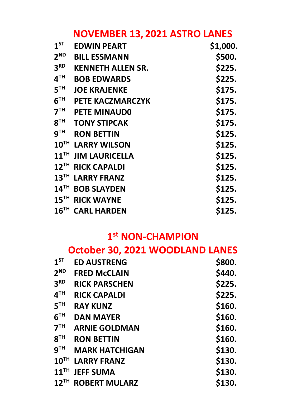### **NOVEMBER 13, 2021 ASTRO LANES**

| $1^{ST}$           | <b>EDWIN PEART</b>       | \$1,000. |
|--------------------|--------------------------|----------|
| 2 <sup>ND</sup>    | <b>BILL ESSMANN</b>      | \$500.   |
| 3 <sup>RD</sup>    | <b>KENNETH ALLEN SR.</b> | \$225.   |
| 4 <sup>TH</sup>    | <b>BOB EDWARDS</b>       | \$225.   |
| 5 <sup>TH</sup>    | <b>JOE KRAJENKE</b>      | \$175.   |
| 6 <sup>TH</sup>    | <b>PETE KACZMARCZYK</b>  | \$175.   |
| 7 <sup>TH</sup>    | <b>PETE MINAUDO</b>      | \$175.   |
| 8 <sup>TH</sup>    | <b>TONY STIPCAK</b>      | \$175.   |
| 9 <sup>TH</sup>    | <b>RON BETTIN</b>        | \$125.   |
| 10 <sup>TH</sup>   | <b>LARRY WILSON</b>      | \$125.   |
| $11$ <sup>TH</sup> | <b>JIM LAURICELLA</b>    | \$125.   |
| $12$ <sup>TH</sup> | <b>RICK CAPALDI</b>      | \$125.   |
| 13 <sup>TH</sup>   | <b>LARRY FRANZ</b>       | \$125.   |
| $14^{\text{TH}}$   | <b>BOB SLAYDEN</b>       | \$125.   |
| 15 <sup>TH</sup>   | <b>RICK WAYNE</b>        | \$125.   |
| 16 <sup>TH</sup>   | <b>CARL HARDEN</b>       | \$125.   |

#### **1 st NON-CHAMPION**

|                    |                       | October 30, 2021 WOODLAND LANES |
|--------------------|-----------------------|---------------------------------|
| $1^{ST}$           | <b>ED AUSTRENG</b>    | \$800.                          |
| 2 <sup>ND</sup>    | <b>FRED McCLAIN</b>   | \$440.                          |
| 3 <sup>RD</sup>    | <b>RICK PARSCHEN</b>  | \$225.                          |
| 4 <sup>TH</sup>    | <b>RICK CAPALDI</b>   | \$225.                          |
| 5 <sup>TH</sup>    | <b>RAY KUNZ</b>       | \$160.                          |
| 6 <sup>TH</sup>    | <b>DAN MAYER</b>      | \$160.                          |
| 7 <sup>TH</sup>    | <b>ARNIE GOLDMAN</b>  | \$160.                          |
| 8 <sup>TH</sup>    | <b>RON BETTIN</b>     | \$160.                          |
| 9 <sup>TH</sup>    | <b>MARK HATCHIGAN</b> | \$130.                          |
| 10 <sup>TH</sup>   | <b>LARRY FRANZ</b>    | \$130.                          |
| $11$ <sup>TH</sup> | <b>JEFF SUMA</b>      | \$130.                          |
| $12$ <sup>TH</sup> | <b>ROBERT MULARZ</b>  | \$130.                          |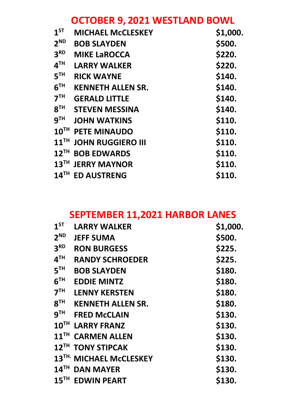### **OCTOBER 9, 2021 WESTLAND BOWL**

| 1 <sup>ST</sup>    | <b>MICHAEL McCLESKEY</b> | \$1,000. |
|--------------------|--------------------------|----------|
| 2 <sup>ND</sup>    | <b>BOB SLAYDEN</b>       | \$500.   |
| 3 <sup>RD</sup>    | <b>MIKE LAROCCA</b>      | \$220.   |
| 4 <sup>TH</sup>    | <b>LARRY WALKER</b>      | \$220.   |
| 5 <sup>TH</sup>    | <b>RICK WAYNE</b>        | \$140.   |
| 6 <sup>TH</sup>    | <b>KENNETH ALLEN SR.</b> | \$140.   |
| 7 <sup>TH</sup>    | <b>GERALD LITTLE</b>     | \$140.   |
| 8 <sup>TH</sup>    | <b>STEVEN MESSINA</b>    | \$140.   |
| 9 <sup>TH</sup>    | <b>JOHN WATKINS</b>      | \$110.   |
| $10^{TH}$          | <b>PETE MINAUDO</b>      | \$110.   |
| $11$ <sup>TH</sup> | <b>JOHN RUGGIERO III</b> | \$110.   |
| $12$ <sup>TH</sup> | <b>BOB EDWARDS</b>       | \$110.   |
| $13^{\text{TH}}$   | <b>JERRY MAYNOR</b>      | \$110.   |
| 14 <sup>TH</sup>   | <b>ED AUSTRENG</b>       | \$110.   |

#### **SEPTEMBER 11,2021 HARBOR LANES**

| 1 <sup>ST</sup>    | <b>LARRY WALKER</b>                 | \$1,000. |  |
|--------------------|-------------------------------------|----------|--|
| 2 <sup>ND</sup>    | <b>JEFF SUMA</b>                    | \$500.   |  |
| 3 <sup>RD</sup>    | <b>RON BURGESS</b>                  | \$225.   |  |
| 4 <sup>TH</sup>    | <b>RANDY SCHROEDER</b>              | \$225.   |  |
| 5 <sup>TH</sup>    | <b>BOB SLAYDEN</b>                  | \$180.   |  |
| 6 <sup>TH</sup>    | <b>EDDIE MINTZ</b>                  | \$180.   |  |
| 7 <sup>TH</sup>    | <b>LENNY KERSTEN</b>                | \$180.   |  |
| 8 <sup>TH</sup>    | <b>KENNETH ALLEN SR.</b>            | \$180.   |  |
| 9 <sup>TH</sup>    | <b>FRED McCLAIN</b>                 | \$130.   |  |
| 10 <sup>TH</sup>   | <b>LARRY FRANZ</b>                  | \$130.   |  |
| $11$ <sup>TH</sup> | <b>CARMEN ALLEN</b>                 | \$130.   |  |
|                    | 12 <sup>TH</sup> TONY STIPCAK       | \$130.   |  |
|                    | 13 <sup>TH.</sup> MICHAEL McCLESKEY | \$130.   |  |
| $14$ <sup>TH</sup> | <b>DAN MAYER</b>                    | \$130.   |  |
|                    | 15 <sup>TH</sup> EDWIN PEART        | \$130.   |  |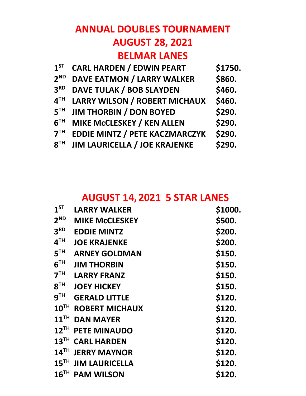# **ANNUAL DOUBLES TOURNAMENT AUGUST 28, 2021 BELMAR LANES**

| 1 <sup>ST</sup> | <b>CARL HARDEN / EDWIN PEART</b>      | \$1750. |
|-----------------|---------------------------------------|---------|
| 2 <sup>ND</sup> | <b>DAVE EATMON / LARRY WALKER</b>     | \$860.  |
| 3 <sup>RD</sup> | <b>DAVE TULAK / BOB SLAYDEN</b>       | \$460.  |
| 4 <sup>TH</sup> | <b>LARRY WILSON / ROBERT MICHAUX</b>  | \$460.  |
| 5 <sup>TH</sup> | <b>JIM THORBIN / DON BOYED</b>        | \$290.  |
| 6 <sup>TH</sup> | <b>MIKE McCLESKEY / KEN ALLEN</b>     | \$290.  |
| 7 <sup>TH</sup> | <b>EDDIE MINTZ / PETE KACZMARCZYK</b> | \$290.  |
| 8 <sup>TH</sup> | <b>JIM LAURICELLA / JOE KRAJENKE</b>  | \$290.  |

#### **AUGUST 14, 2021 5 STAR LANES**

| 1 <sup>ST</sup>    | <b>LARRY WALKER</b>   | \$1000. |
|--------------------|-----------------------|---------|
| 2 <sup>ND</sup>    | <b>MIKE McCLESKEY</b> | \$500.  |
| 3 <sup>RD</sup>    | <b>EDDIE MINTZ</b>    | \$200.  |
| 4 <sup>TH</sup>    | <b>JOE KRAJENKE</b>   | \$200.  |
| 5 <sup>TH</sup>    | <b>ARNEY GOLDMAN</b>  | \$150.  |
| 6 <sup>TH</sup>    | <b>JIM THORBIN</b>    | \$150.  |
| 7 <sup>TH</sup>    | <b>LARRY FRANZ</b>    | \$150.  |
| 8 <sup>TH</sup>    | <b>JOEY HICKEY</b>    | \$150.  |
| 9 <sup>TH</sup>    | <b>GERALD LITTLE</b>  | \$120.  |
| $10^{TH}$          | <b>ROBERT MICHAUX</b> | \$120.  |
| $11$ <sup>TH</sup> | <b>DAN MAYER</b>      | \$120.  |
| $12$ <sup>TH</sup> | <b>PETE MINAUDO</b>   | \$120.  |
| $13$ <sup>TH</sup> | <b>CARL HARDEN</b>    | \$120.  |
| 14 <sup>TH</sup>   | <b>JERRY MAYNOR</b>   | \$120.  |
| 15 <sup>TH</sup>   | <b>JIM LAURICELLA</b> | \$120.  |
| 16 <sup>TH</sup>   | <b>PAM WILSON</b>     | \$120.  |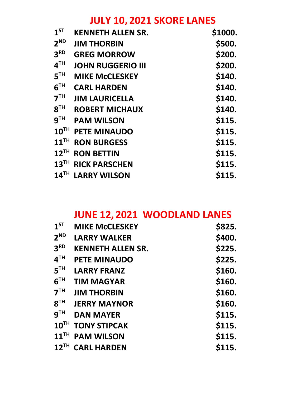### **JULY 10, 2021 SKORE LANES**

| $1^{ST}$           | <b>KENNETH ALLEN SR.</b> | \$1000. |
|--------------------|--------------------------|---------|
| 2 <sup>ND</sup>    | <b>JIM THORBIN</b>       | \$500.  |
| 3 <sup>RD</sup>    | <b>GREG MORROW</b>       | \$200.  |
| 4 <sup>TH</sup>    | <b>JOHN RUGGERIO III</b> | \$200.  |
| 5 <sup>TH</sup>    | <b>MIKE McCLESKEY</b>    | \$140.  |
| 6 <sup>TH</sup>    | <b>CARL HARDEN</b>       | \$140.  |
| 7 <sup>TH</sup>    | <b>JIM LAURICELLA</b>    | \$140.  |
| 8 <sup>TH</sup>    | <b>ROBERT MICHAUX</b>    | \$140.  |
| 9 <sup>TH</sup>    | <b>PAM WILSON</b>        | \$115.  |
| 10 <sup>TH</sup>   | <b>PETE MINAUDO</b>      | \$115.  |
| $11$ <sup>TH</sup> | <b>RON BURGESS</b>       | \$115.  |
| $12$ <sup>TH</sup> | <b>RON BETTIN</b>        | \$115.  |
| 13 <sup>TH</sup>   | <b>RICK PARSCHEN</b>     | \$115.  |
| $14$ <sup>TH</sup> | <b>LARRY WILSON</b>      | \$115.  |

### **JUNE 12, 2021 WOODLAND LANES**

| 1 <sup>ST</sup>    | <b>MIKE McCLESKEY</b>    | \$825. |
|--------------------|--------------------------|--------|
| 2 <sup>ND</sup>    | <b>LARRY WALKER</b>      | \$400. |
| 3 <sup>RD</sup>    | <b>KENNETH ALLEN SR.</b> | \$225. |
| 4 <sup>TH</sup>    | <b>PETE MINAUDO</b>      | \$225. |
| 5 <sup>TH</sup>    | <b>LARRY FRANZ</b>       | \$160. |
| 6 <sup>TH</sup>    | <b>TIM MAGYAR</b>        | \$160. |
| 7 <sup>TH</sup>    | <b>JIM THORBIN</b>       | \$160. |
| 8 <sup>TH</sup>    | <b>JERRY MAYNOR</b>      | \$160. |
| <b>g</b> TH        | <b>DAN MAYER</b>         | \$115. |
|                    | 10TH TONY STIPCAK        | \$115. |
| $11$ <sup>TH</sup> | <b>PAM WILSON</b>        | \$115. |
| $12$ <sup>TH</sup> | <b>CARL HARDEN</b>       | \$115. |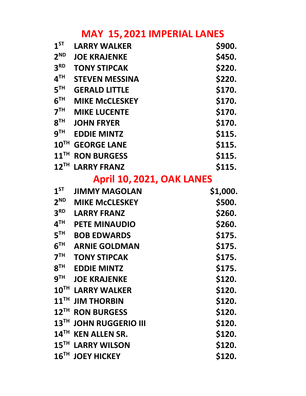### **MAY 15, 2021 IMPERIAL LANES**

| $1^{ST}$                   | <b>LARRY WALKER</b>           | \$900.   |
|----------------------------|-------------------------------|----------|
| $2^{ND}$                   | <b>JOE KRAJENKE</b>           | \$450.   |
| 3 <sup>RD</sup>            | <b>TONY STIPCAK</b>           | \$220.   |
| $\mathbf{4}^{\mathsf{TH}}$ | <b>STEVEN MESSINA</b>         | \$220.   |
| 5 <sup>TH</sup>            | <b>GERALD LITTLE</b>          | \$170.   |
| 6 <sup>TH</sup>            | <b>MIKE McCLESKEY</b>         | \$170.   |
| 7 <sup>TH</sup>            | <b>MIKE LUCENTE</b>           | \$170.   |
| $8^{TH}$                   | <b>JOHN FRYER</b>             | \$170.   |
| 9 $^{\sf TH}$              | <b>EDDIE MINTZ</b>            | \$115.   |
| 10 <sup>TH</sup>           | <b>GEORGE LANE</b>            | \$115.   |
| $11$ <sup>TH</sup>         | <b>RON BURGESS</b>            | \$115.   |
| $12^{TH}$                  | <b>LARRY FRANZ</b>            | \$115.   |
|                            | April 10, 2021, OAK LANES     |          |
| $1^{ST}$                   | <b>JIMMY MAGOLAN</b>          | \$1,000. |
| 2 <sup>ND</sup>            | <b>MIKE McCLESKEY</b>         | \$500.   |
| 3 <sup>RD</sup>            | <b>LARRY FRANZ</b>            | \$260.   |
| $\mathbf{4^{TH}}$          | <b>PETE MINAUDIO</b>          | \$260.   |
| $5^{\texttt{TH}}$          | <b>BOB EDWARDS</b>            | \$175.   |
| $6^{\sf TH}$               | <b>ARNIE GOLDMAN</b>          | \$175.   |
| 7 <sup>TH</sup>            | <b>TONY STIPCAK</b>           | \$175.   |
| $8^{TH}$                   | <b>EDDIE MINTZ</b>            | \$175.   |
| $9^{TH}$                   | <b>JOE KRAJENKE</b>           | \$120.   |
| 10 <sup>TH</sup>           | <b>LARRY WALKER</b>           | \$120.   |
| $11^{\text{TH}}$           | <b>JIM THORBIN</b>            | \$120.   |
| $12$ <sup>TH</sup>         | <b>RON BURGESS</b>            | \$120.   |
| $13$ <sup>TH</sup>         |                               |          |
|                            | <b>JOHN RUGGERIO III</b>      | \$120.   |
| $14^{\text{TH}}$           | <b>KEN ALLEN SR.</b>          | \$120.   |
|                            | 15 <sup>TH</sup> LARRY WILSON | \$120.   |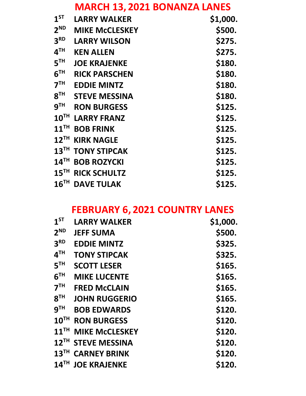### **MARCH 13, 2021 BONANZA LANES**

| 1 <sup>ST</sup>    | <b>LARRY WALKER</b>   | \$1,000. |
|--------------------|-----------------------|----------|
| 2 <sup>ND</sup>    | <b>MIKE MCCLESKEY</b> | \$500.   |
| 3 <sup>RD</sup>    | <b>LARRY WILSON</b>   | \$275.   |
| 4 <sup>TH</sup>    | <b>KEN ALLEN</b>      | \$275.   |
| 5 <sup>TH</sup>    | <b>JOE KRAJENKE</b>   | \$180.   |
| 6 <sup>TH</sup>    | <b>RICK PARSCHEN</b>  | \$180.   |
| 7 <sup>TH</sup>    | <b>EDDIE MINTZ</b>    | \$180.   |
| 8 <sup>TH</sup>    | <b>STEVE MESSINA</b>  | \$180.   |
| 9 <sup>TH</sup>    | <b>RON BURGESS</b>    | \$125.   |
| 10 <sup>TH</sup>   | <b>LARRY FRANZ</b>    | \$125.   |
| $11$ <sup>TH</sup> | <b>BOB FRINK</b>      | \$125.   |
| $12$ <sup>TH</sup> | <b>KIRK NAGLE</b>     | \$125.   |
| $13$ <sup>TH</sup> | <b>TONY STIPCAK</b>   | \$125.   |
| 14 <sup>TH</sup>   | <b>BOB ROZYCKI</b>    | \$125.   |
| 15 <sup>TH</sup>   | <b>RICK SCHULTZ</b>   | \$125.   |
| 16 <sup>TH</sup>   | <b>DAVE TULAK</b>     | \$125.   |

# **FEBRUARY 6, 2021 COUNTRY LANES**

| 1 <sup>ST</sup>  | <b>LARRY WALKER</b>            | \$1,000. |
|------------------|--------------------------------|----------|
| 2 <sup>ND</sup>  | <b>JEFF SUMA</b>               | \$500.   |
| 3 <sup>RD</sup>  | <b>EDDIE MINTZ</b>             | \$325.   |
| 4 <sup>TH</sup>  | <b>TONY STIPCAK</b>            | \$325.   |
| 5 <sup>TH</sup>  | <b>SCOTT LESER</b>             | \$165.   |
| 6 <sup>TH</sup>  | <b>MIKE LUCENTE</b>            | \$165.   |
| 7 <sup>TH</sup>  | <b>FRED McCLAIN</b>            | \$165.   |
| 8 <sup>TH</sup>  | <b>JOHN RUGGERIO</b>           | \$165.   |
| 9 <sup>TH</sup>  | <b>BOB EDWARDS</b>             | \$120.   |
| $10^{TH}$        | <b>RON BURGESS</b>             | \$120.   |
| $11^{\text{TH}}$ | <b>MIKE McCLESKEY</b>          | \$120.   |
|                  | 12 <sup>TH</sup> STEVE MESSINA | \$120.   |
|                  | 13TH CARNEY BRINK              | \$120.   |
| 14 <sup>TH</sup> | <b>JOE KRAJENKE</b>            | \$120.   |